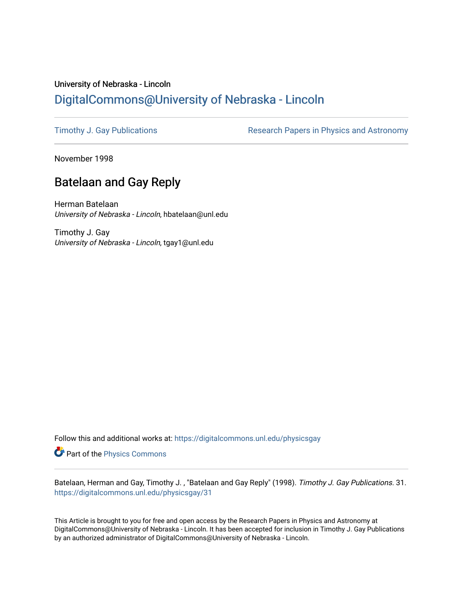## University of Nebraska - Lincoln [DigitalCommons@University of Nebraska - Lincoln](https://digitalcommons.unl.edu/)

[Timothy J. Gay Publications](https://digitalcommons.unl.edu/physicsgay) **Research Papers in Physics and Astronomy** 

November 1998

## Batelaan and Gay Reply

Herman Batelaan University of Nebraska - Lincoln, hbatelaan@unl.edu

Timothy J. Gay University of Nebraska - Lincoln, tgay1@unl.edu

Follow this and additional works at: [https://digitalcommons.unl.edu/physicsgay](https://digitalcommons.unl.edu/physicsgay?utm_source=digitalcommons.unl.edu%2Fphysicsgay%2F31&utm_medium=PDF&utm_campaign=PDFCoverPages)

Part of the [Physics Commons](http://network.bepress.com/hgg/discipline/193?utm_source=digitalcommons.unl.edu%2Fphysicsgay%2F31&utm_medium=PDF&utm_campaign=PDFCoverPages)

Batelaan, Herman and Gay, Timothy J. , "Batelaan and Gay Reply" (1998). Timothy J. Gay Publications. 31. [https://digitalcommons.unl.edu/physicsgay/31](https://digitalcommons.unl.edu/physicsgay/31?utm_source=digitalcommons.unl.edu%2Fphysicsgay%2F31&utm_medium=PDF&utm_campaign=PDFCoverPages) 

This Article is brought to you for free and open access by the Research Papers in Physics and Astronomy at DigitalCommons@University of Nebraska - Lincoln. It has been accepted for inclusion in Timothy J. Gay Publications by an authorized administrator of DigitalCommons@University of Nebraska - Lincoln.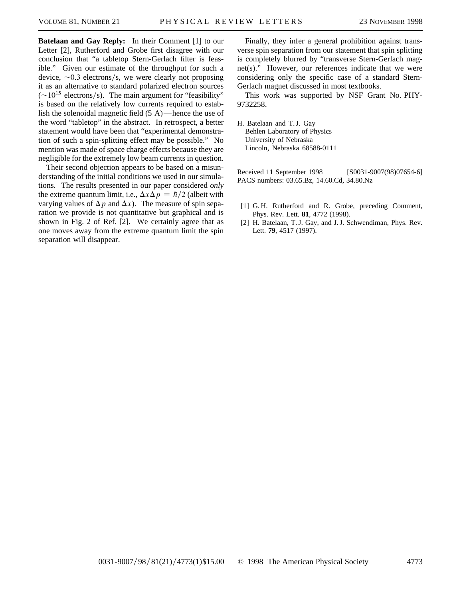**Batelaan and Gay Reply:** In their Comment [1] to our Letter [2], Rutherford and Grobe first disagree with our conclusion that "a tabletop Stern-Gerlach filter is feasible." Given our estimate of the throughput for such a device,  $\sim 0.3$  electrons/s, we were clearly not proposing it as an alternative to standard polarized electron sources  $(\sim)10^{15}$  electrons/s). The main argument for "feasibility" is based on the relatively low currents required to establish the solenoidal magnetic field (5 A)—hence the use of the word "tabletop" in the abstract. In retrospect, a better statement would have been that "experimental demonstration of such a spin-splitting effect may be possible." No mention was made of space charge effects because they are negligible for the extremely low beam currents in question.

Their second objection appears to be based on a misunderstanding of the initial conditions we used in our simulations. The results presented in our paper considered *only* the extreme quantum limit, i.e.,  $\Delta x \Delta p = \hbar/2$  (albeit with varying values of  $\Delta p$  and  $\Delta x$ ). The measure of spin separation we provide is not quantitative but graphical and is shown in Fig. 2 of Ref. [2]. We certainly agree that as one moves away from the extreme quantum limit the spin separation will disappear.

Finally, they infer a general prohibition against transverse spin separation from our statement that spin splitting is completely blurred by "transverse Stern-Gerlach magnet(s)." However, our references indicate that we were considering only the specific case of a standard Stern-Gerlach magnet discussed in most textbooks.

This work was supported by NSF Grant No. PHY-9732258.

H. Batelaan and T. J. Gay Behlen Laboratory of Physics University of Nebraska Lincoln, Nebraska 68588-0111

Received 11 September 1998 [S0031-9007(98)07654-6] PACS numbers: 03.65.Bz, 14.60.Cd, 34.80.Nz

- [1] G. H. Rutherford and R. Grobe, preceding Comment, Phys. Rev. Lett. **81**, 4772 (1998).
- [2] H. Batelaan, T. J. Gay, and J. J. Schwendiman, Phys. Rev. Lett. **79**, 4517 (1997).